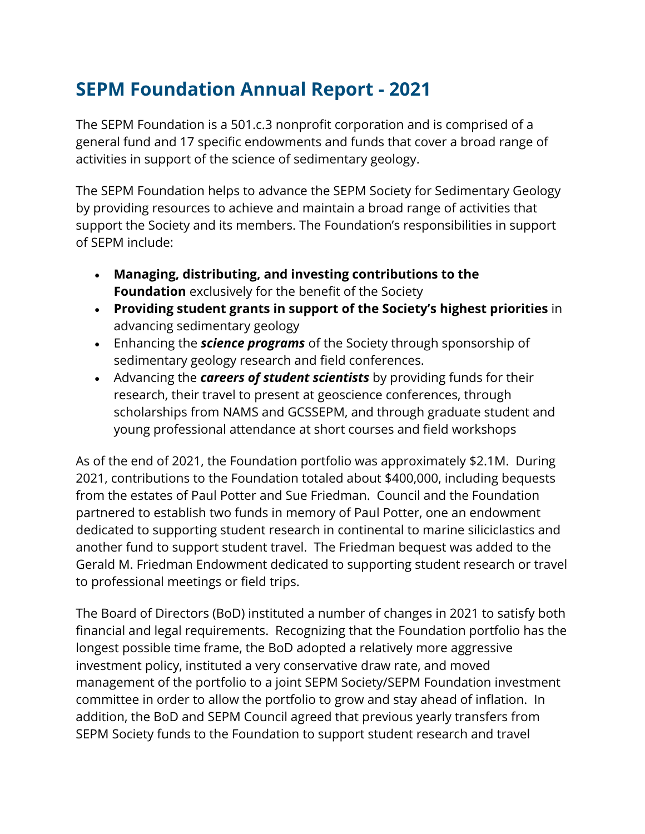## **SEPM Foundation Annual Report - 2021**

The SEPM Foundation is a 501.c.3 nonprofit corporation and is comprised of a general fund and 17 specific endowments and funds that cover a broad range of activities in support of the science of sedimentary geology.

The SEPM Foundation helps to advance the SEPM Society for Sedimentary Geology by providing resources to achieve and maintain a broad range of activities that support the Society and its members. The Foundation's responsibilities in support of SEPM include:

- **Managing, distributing, and investing contributions to the Foundation** exclusively for the benefit of the Society
- **Providing student grants in support of the Society's highest priorities** in advancing sedimentary geology
- Enhancing the *science programs* of the Society through sponsorship of sedimentary geology research and field conferences.
- Advancing the *careers of student scientists* by providing funds for their research, their travel to present at geoscience conferences, through scholarships from NAMS and GCSSEPM, and through graduate student and young professional attendance at short courses and field workshops

As of the end of 2021, the Foundation portfolio was approximately \$2.1M. During 2021, contributions to the Foundation totaled about \$400,000, including bequests from the estates of Paul Potter and Sue Friedman. Council and the Foundation partnered to establish two funds in memory of Paul Potter, one an endowment dedicated to supporting student research in continental to marine siliciclastics and another fund to support student travel. The Friedman bequest was added to the Gerald M. Friedman Endowment dedicated to supporting student research or travel to professional meetings or field trips.

The Board of Directors (BoD) instituted a number of changes in 2021 to satisfy both financial and legal requirements. Recognizing that the Foundation portfolio has the longest possible time frame, the BoD adopted a relatively more aggressive investment policy, instituted a very conservative draw rate, and moved management of the portfolio to a joint SEPM Society/SEPM Foundation investment committee in order to allow the portfolio to grow and stay ahead of inflation. In addition, the BoD and SEPM Council agreed that previous yearly transfers from SEPM Society funds to the Foundation to support student research and travel